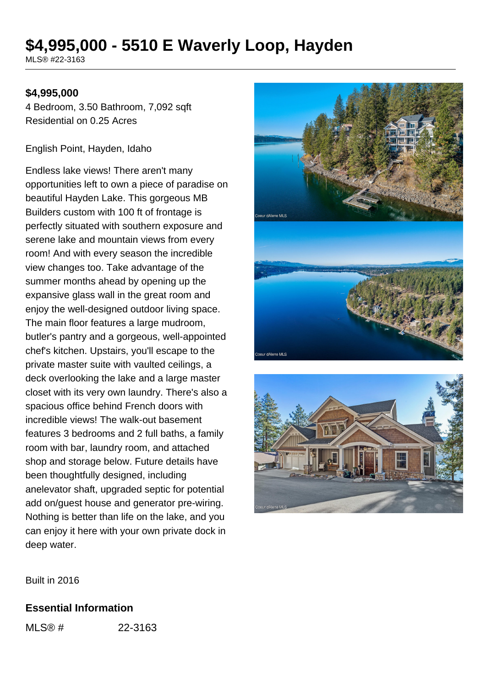# **\$4,995,000 - 5510 E Waverly Loop, Hayden**

MLS® #22-3163

### **\$4,995,000**

4 Bedroom, 3.50 Bathroom, 7,092 sqft Residential on 0.25 Acres

English Point, Hayden, Idaho

Endless lake views! There aren't many opportunities left to own a piece of paradise on beautiful Hayden Lake. This gorgeous MB Builders custom with 100 ft of frontage is perfectly situated with southern exposure and serene lake and mountain views from every room! And with every season the incredible view changes too. Take advantage of the summer months ahead by opening up the expansive glass wall in the great room and enjoy the well-designed outdoor living space. The main floor features a large mudroom, butler's pantry and a gorgeous, well-appointed chef's kitchen. Upstairs, you'll escape to the private master suite with vaulted ceilings, a deck overlooking the lake and a large master closet with its very own laundry. There's also a spacious office behind French doors with incredible views! The walk-out basement features 3 bedrooms and 2 full baths, a family room with bar, laundry room, and attached shop and storage below. Future details have been thoughtfully designed, including anelevator shaft, upgraded septic for potential add on/guest house and generator pre-wiring. Nothing is better than life on the lake, and you can enjoy it here with your own private dock in deep water.





Built in 2016

#### **Essential Information**

MLS® # 22-3163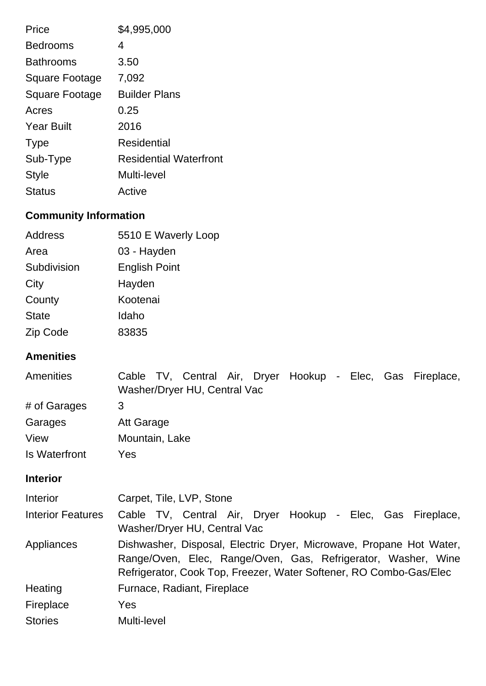| Price             | \$4,995,000                   |
|-------------------|-------------------------------|
| <b>Bedrooms</b>   | 4                             |
| <b>Bathrooms</b>  | 3.50                          |
| Square Footage    | 7,092                         |
| Square Footage    | <b>Builder Plans</b>          |
| Acres             | 0.25                          |
| <b>Year Built</b> | 2016                          |
| <b>Type</b>       | <b>Residential</b>            |
| Sub-Type          | <b>Residential Waterfront</b> |
| <b>Style</b>      | Multi-level                   |
| <b>Status</b>     | Active                        |

## **Community Information**

| Address      | 5510 E Waverly Loop  |
|--------------|----------------------|
| Area         | 03 - Hayden          |
| Subdivision  | <b>English Point</b> |
| City         | Hayden               |
| County       | Kootenai             |
| <b>State</b> | Idaho                |
| Zip Code     | 83835                |

### **Amenities**

| <b>Amenities</b>     | Cable TV, Central Air, Dryer Hookup - Elec, Gas Fireplace,<br>Washer/Dryer HU, Central Vac |
|----------------------|--------------------------------------------------------------------------------------------|
| # of Garages         | 3                                                                                          |
| Garages              | Att Garage                                                                                 |
| View                 | Mountain, Lake                                                                             |
| <b>Is Waterfront</b> | Yes                                                                                        |
| <b>Interior</b>      |                                                                                            |
|                      |                                                                                            |

| <b>Interior</b>          | Carpet, Tile, LVP, Stone                                                                                                                                                                                   |
|--------------------------|------------------------------------------------------------------------------------------------------------------------------------------------------------------------------------------------------------|
| <b>Interior Features</b> | Cable TV, Central Air, Dryer Hookup - Elec, Gas Fireplace,<br>Washer/Dryer HU, Central Vac                                                                                                                 |
| Appliances               | Dishwasher, Disposal, Electric Dryer, Microwave, Propane Hot Water,<br>Range/Oven, Elec, Range/Oven, Gas, Refrigerator, Washer, Wine<br>Refrigerator, Cook Top, Freezer, Water Softener, RO Combo-Gas/Elec |
| Heating                  | Furnace, Radiant, Fireplace                                                                                                                                                                                |
| Fireplace                | Yes                                                                                                                                                                                                        |
| <b>Stories</b>           | Multi-level                                                                                                                                                                                                |